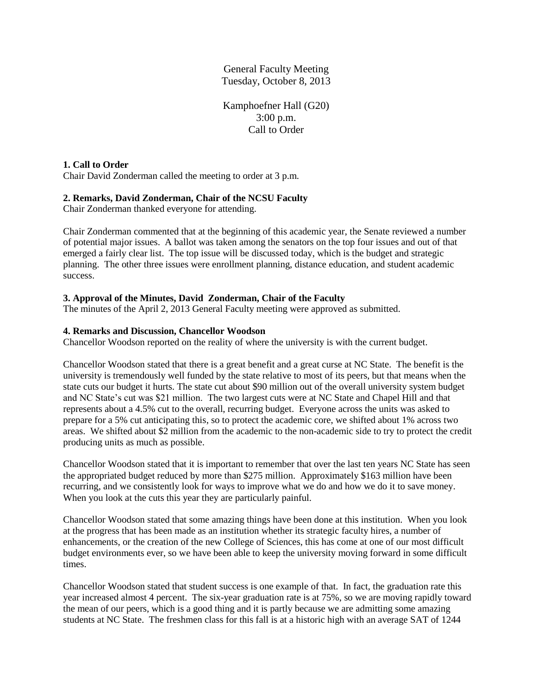General Faculty Meeting Tuesday, October 8, 2013

Kamphoefner Hall (G20) 3:00 p.m. Call to Order

# **1. Call to Order**

Chair David Zonderman called the meeting to order at 3 p.m.

# **2. Remarks, David Zonderman, Chair of the NCSU Faculty**

Chair Zonderman thanked everyone for attending.

Chair Zonderman commented that at the beginning of this academic year, the Senate reviewed a number of potential major issues. A ballot was taken among the senators on the top four issues and out of that emerged a fairly clear list. The top issue will be discussed today, which is the budget and strategic planning. The other three issues were enrollment planning, distance education, and student academic success.

# **3. Approval of the Minutes, David Zonderman, Chair of the Faculty**

The minutes of the April 2, 2013 General Faculty meeting were approved as submitted.

# **4. Remarks and Discussion, Chancellor Woodson**

Chancellor Woodson reported on the reality of where the university is with the current budget.

Chancellor Woodson stated that there is a great benefit and a great curse at NC State. The benefit is the university is tremendously well funded by the state relative to most of its peers, but that means when the state cuts our budget it hurts. The state cut about \$90 million out of the overall university system budget and NC State's cut was \$21 million. The two largest cuts were at NC State and Chapel Hill and that represents about a 4.5% cut to the overall, recurring budget. Everyone across the units was asked to prepare for a 5% cut anticipating this, so to protect the academic core, we shifted about 1% across two areas. We shifted about \$2 million from the academic to the non-academic side to try to protect the credit producing units as much as possible.

Chancellor Woodson stated that it is important to remember that over the last ten years NC State has seen the appropriated budget reduced by more than \$275 million. Approximately \$163 million have been recurring, and we consistently look for ways to improve what we do and how we do it to save money. When you look at the cuts this year they are particularly painful.

Chancellor Woodson stated that some amazing things have been done at this institution. When you look at the progress that has been made as an institution whether its strategic faculty hires, a number of enhancements, or the creation of the new College of Sciences, this has come at one of our most difficult budget environments ever, so we have been able to keep the university moving forward in some difficult times.

Chancellor Woodson stated that student success is one example of that. In fact, the graduation rate this year increased almost 4 percent. The six-year graduation rate is at 75%, so we are moving rapidly toward the mean of our peers, which is a good thing and it is partly because we are admitting some amazing students at NC State. The freshmen class for this fall is at a historic high with an average SAT of 1244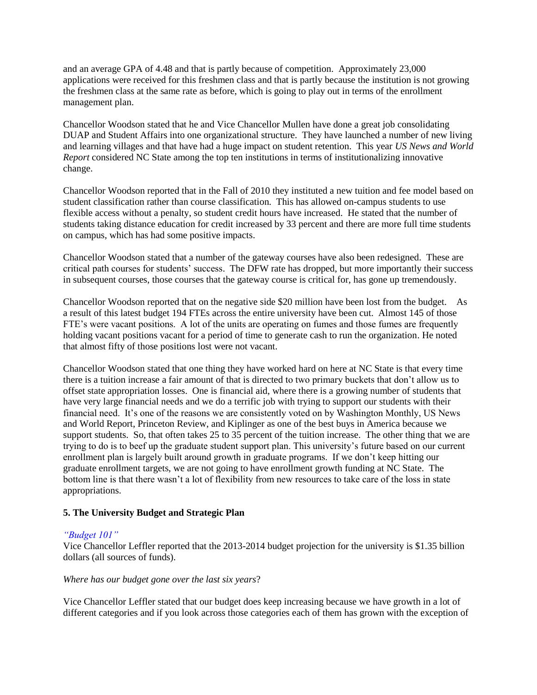and an average GPA of 4.48 and that is partly because of competition. Approximately 23,000 applications were received for this freshmen class and that is partly because the institution is not growing the freshmen class at the same rate as before, which is going to play out in terms of the enrollment management plan.

Chancellor Woodson stated that he and Vice Chancellor Mullen have done a great job consolidating DUAP and Student Affairs into one organizational structure. They have launched a number of new living and learning villages and that have had a huge impact on student retention. This year *US News and World Report* considered NC State among the top ten institutions in terms of institutionalizing innovative change.

Chancellor Woodson reported that in the Fall of 2010 they instituted a new tuition and fee model based on student classification rather than course classification. This has allowed on-campus students to use flexible access without a penalty, so student credit hours have increased. He stated that the number of students taking distance education for credit increased by 33 percent and there are more full time students on campus, which has had some positive impacts.

Chancellor Woodson stated that a number of the gateway courses have also been redesigned. These are critical path courses for students' success. The DFW rate has dropped, but more importantly their success in subsequent courses, those courses that the gateway course is critical for, has gone up tremendously.

Chancellor Woodson reported that on the negative side \$20 million have been lost from the budget. As a result of this latest budget 194 FTEs across the entire university have been cut. Almost 145 of those FTE's were vacant positions. A lot of the units are operating on fumes and those fumes are frequently holding vacant positions vacant for a period of time to generate cash to run the organization. He noted that almost fifty of those positions lost were not vacant.

Chancellor Woodson stated that one thing they have worked hard on here at NC State is that every time there is a tuition increase a fair amount of that is directed to two primary buckets that don't allow us to offset state appropriation losses. One is financial aid, where there is a growing number of students that have very large financial needs and we do a terrific job with trying to support our students with their financial need. It's one of the reasons we are consistently voted on by Washington Monthly, US News and World Report, Princeton Review, and Kiplinger as one of the best buys in America because we support students. So, that often takes 25 to 35 percent of the tuition increase. The other thing that we are trying to do is to beef up the graduate student support plan. This university's future based on our current enrollment plan is largely built around growth in graduate programs. If we don't keep hitting our graduate enrollment targets, we are not going to have enrollment growth funding at NC State. The bottom line is that there wasn't a lot of flexibility from new resources to take care of the loss in state appropriations.

# **5. The University Budget and Strategic Plan**

# *["Budget 101"](http://www.ncsu.edu/faculty_senate/documents/100813-GenFacMtg-Budget-Final-PDF.pdf)*

Vice Chancellor Leffler reported that the 2013-2014 budget projection for the university is \$1.35 billion dollars (all sources of funds).

#### *Where has our budget gone over the last six years*?

Vice Chancellor Leffler stated that our budget does keep increasing because we have growth in a lot of different categories and if you look across those categories each of them has grown with the exception of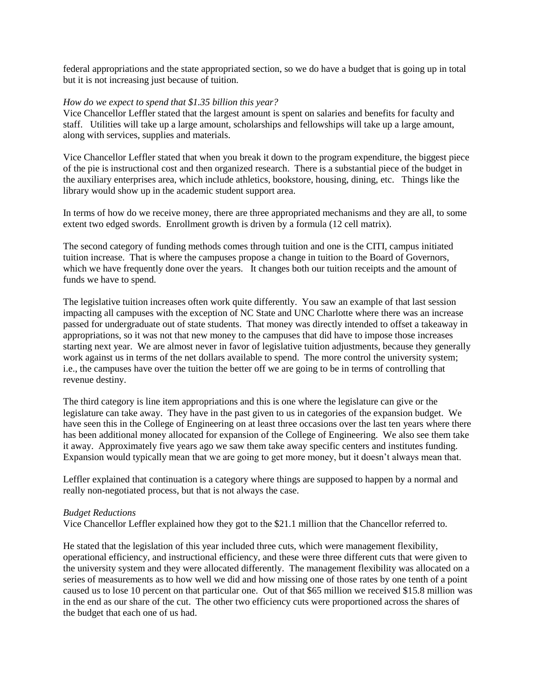federal appropriations and the state appropriated section, so we do have a budget that is going up in total but it is not increasing just because of tuition.

#### *How do we expect to spend that \$1.35 billion this year?*

Vice Chancellor Leffler stated that the largest amount is spent on salaries and benefits for faculty and staff. Utilities will take up a large amount, scholarships and fellowships will take up a large amount, along with services, supplies and materials.

Vice Chancellor Leffler stated that when you break it down to the program expenditure, the biggest piece of the pie is instructional cost and then organized research. There is a substantial piece of the budget in the auxiliary enterprises area, which include athletics, bookstore, housing, dining, etc. Things like the library would show up in the academic student support area.

In terms of how do we receive money, there are three appropriated mechanisms and they are all, to some extent two edged swords. Enrollment growth is driven by a formula (12 cell matrix).

The second category of funding methods comes through tuition and one is the CITI, campus initiated tuition increase. That is where the campuses propose a change in tuition to the Board of Governors, which we have frequently done over the years. It changes both our tuition receipts and the amount of funds we have to spend.

The legislative tuition increases often work quite differently. You saw an example of that last session impacting all campuses with the exception of NC State and UNC Charlotte where there was an increase passed for undergraduate out of state students. That money was directly intended to offset a takeaway in appropriations, so it was not that new money to the campuses that did have to impose those increases starting next year. We are almost never in favor of legislative tuition adjustments, because they generally work against us in terms of the net dollars available to spend. The more control the university system; i.e., the campuses have over the tuition the better off we are going to be in terms of controlling that revenue destiny.

The third category is line item appropriations and this is one where the legislature can give or the legislature can take away. They have in the past given to us in categories of the expansion budget. We have seen this in the College of Engineering on at least three occasions over the last ten years where there has been additional money allocated for expansion of the College of Engineering. We also see them take it away. Approximately five years ago we saw them take away specific centers and institutes funding. Expansion would typically mean that we are going to get more money, but it doesn't always mean that.

Leffler explained that continuation is a category where things are supposed to happen by a normal and really non-negotiated process, but that is not always the case.

#### *Budget Reductions*

Vice Chancellor Leffler explained how they got to the \$21.1 million that the Chancellor referred to.

He stated that the legislation of this year included three cuts, which were management flexibility, operational efficiency, and instructional efficiency, and these were three different cuts that were given to the university system and they were allocated differently. The management flexibility was allocated on a series of measurements as to how well we did and how missing one of those rates by one tenth of a point caused us to lose 10 percent on that particular one. Out of that \$65 million we received \$15.8 million was in the end as our share of the cut. The other two efficiency cuts were proportioned across the shares of the budget that each one of us had.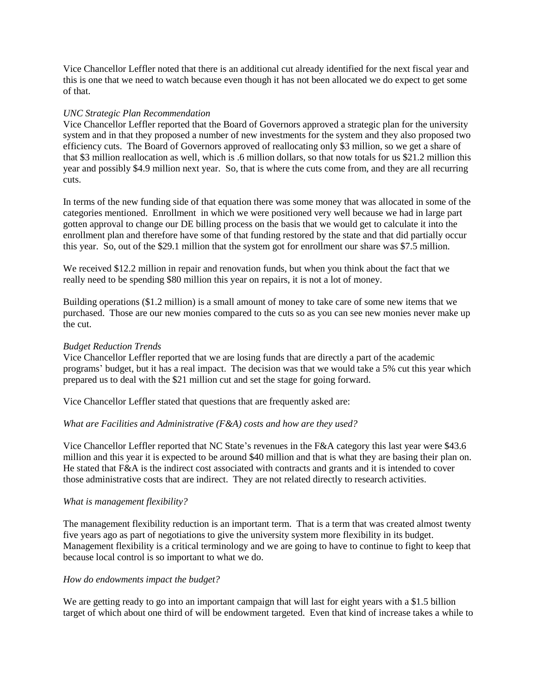Vice Chancellor Leffler noted that there is an additional cut already identified for the next fiscal year and this is one that we need to watch because even though it has not been allocated we do expect to get some of that.

#### *UNC Strategic Plan Recommendation*

Vice Chancellor Leffler reported that the Board of Governors approved a strategic plan for the university system and in that they proposed a number of new investments for the system and they also proposed two efficiency cuts. The Board of Governors approved of reallocating only \$3 million, so we get a share of that \$3 million reallocation as well, which is .6 million dollars, so that now totals for us \$21.2 million this year and possibly \$4.9 million next year. So, that is where the cuts come from, and they are all recurring cuts.

In terms of the new funding side of that equation there was some money that was allocated in some of the categories mentioned. Enrollment in which we were positioned very well because we had in large part gotten approval to change our DE billing process on the basis that we would get to calculate it into the enrollment plan and therefore have some of that funding restored by the state and that did partially occur this year. So, out of the \$29.1 million that the system got for enrollment our share was \$7.5 million.

We received \$12.2 million in repair and renovation funds, but when you think about the fact that we really need to be spending \$80 million this year on repairs, it is not a lot of money.

Building operations (\$1.2 million) is a small amount of money to take care of some new items that we purchased. Those are our new monies compared to the cuts so as you can see new monies never make up the cut.

#### *Budget Reduction Trends*

Vice Chancellor Leffler reported that we are losing funds that are directly a part of the academic programs' budget, but it has a real impact. The decision was that we would take a 5% cut this year which prepared us to deal with the \$21 million cut and set the stage for going forward.

Vice Chancellor Leffler stated that questions that are frequently asked are:

# *What are Facilities and Administrative (F&A) costs and how are they used?*

Vice Chancellor Leffler reported that NC State's revenues in the F&A category this last year were \$43.6 million and this year it is expected to be around \$40 million and that is what they are basing their plan on. He stated that F&A is the indirect cost associated with contracts and grants and it is intended to cover those administrative costs that are indirect. They are not related directly to research activities.

# *What is management flexibility?*

The management flexibility reduction is an important term. That is a term that was created almost twenty five years ago as part of negotiations to give the university system more flexibility in its budget. Management flexibility is a critical terminology and we are going to have to continue to fight to keep that because local control is so important to what we do.

# *How do endowments impact the budget?*

We are getting ready to go into an important campaign that will last for eight years with a \$1.5 billion target of which about one third of will be endowment targeted. Even that kind of increase takes a while to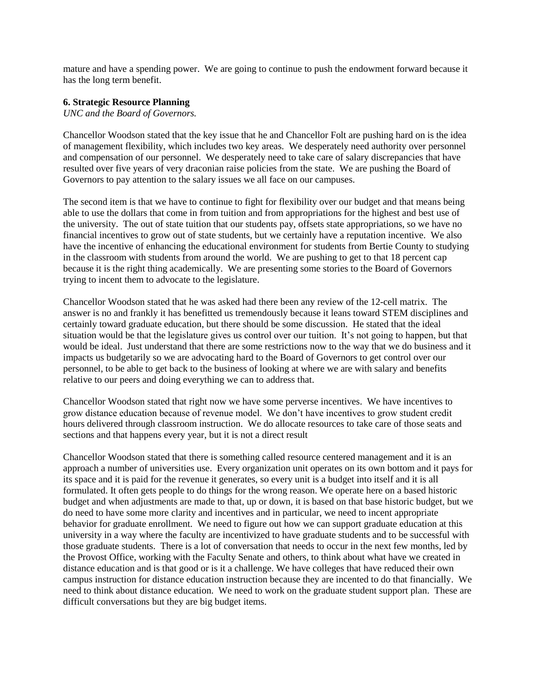mature and have a spending power. We are going to continue to push the endowment forward because it has the long term benefit.

#### **6. Strategic Resource Planning**

*UNC and the Board of Governors.* 

Chancellor Woodson stated that the key issue that he and Chancellor Folt are pushing hard on is the idea of management flexibility, which includes two key areas. We desperately need authority over personnel and compensation of our personnel. We desperately need to take care of salary discrepancies that have resulted over five years of very draconian raise policies from the state. We are pushing the Board of Governors to pay attention to the salary issues we all face on our campuses.

The second item is that we have to continue to fight for flexibility over our budget and that means being able to use the dollars that come in from tuition and from appropriations for the highest and best use of the university. The out of state tuition that our students pay, offsets state appropriations, so we have no financial incentives to grow out of state students, but we certainly have a reputation incentive. We also have the incentive of enhancing the educational environment for students from Bertie County to studying in the classroom with students from around the world. We are pushing to get to that 18 percent cap because it is the right thing academically. We are presenting some stories to the Board of Governors trying to incent them to advocate to the legislature.

Chancellor Woodson stated that he was asked had there been any review of the 12-cell matrix. The answer is no and frankly it has benefitted us tremendously because it leans toward STEM disciplines and certainly toward graduate education, but there should be some discussion. He stated that the ideal situation would be that the legislature gives us control over our tuition. It's not going to happen, but that would be ideal. Just understand that there are some restrictions now to the way that we do business and it impacts us budgetarily so we are advocating hard to the Board of Governors to get control over our personnel, to be able to get back to the business of looking at where we are with salary and benefits relative to our peers and doing everything we can to address that.

Chancellor Woodson stated that right now we have some perverse incentives. We have incentives to grow distance education because of revenue model. We don't have incentives to grow student credit hours delivered through classroom instruction. We do allocate resources to take care of those seats and sections and that happens every year, but it is not a direct result

Chancellor Woodson stated that there is something called resource centered management and it is an approach a number of universities use. Every organization unit operates on its own bottom and it pays for its space and it is paid for the revenue it generates, so every unit is a budget into itself and it is all formulated. It often gets people to do things for the wrong reason. We operate here on a based historic budget and when adjustments are made to that, up or down, it is based on that base historic budget, but we do need to have some more clarity and incentives and in particular, we need to incent appropriate behavior for graduate enrollment. We need to figure out how we can support graduate education at this university in a way where the faculty are incentivized to have graduate students and to be successful with those graduate students. There is a lot of conversation that needs to occur in the next few months, led by the Provost Office, working with the Faculty Senate and others, to think about what have we created in distance education and is that good or is it a challenge. We have colleges that have reduced their own campus instruction for distance education instruction because they are incented to do that financially. We need to think about distance education. We need to work on the graduate student support plan. These are difficult conversations but they are big budget items.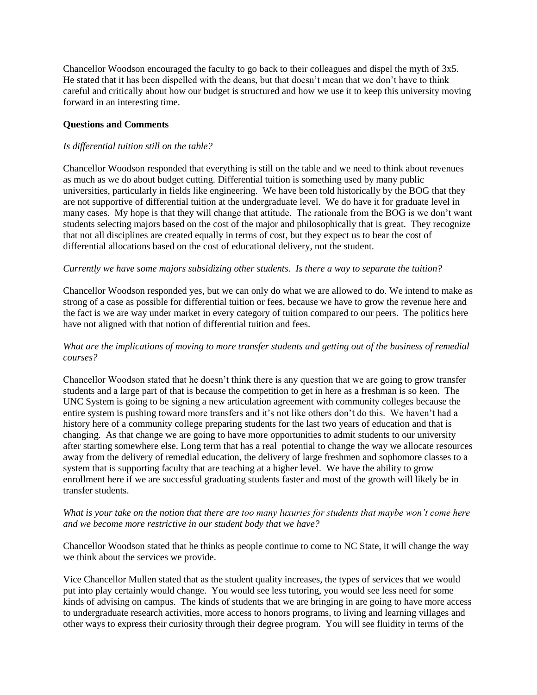Chancellor Woodson encouraged the faculty to go back to their colleagues and dispel the myth of 3x5. He stated that it has been dispelled with the deans, but that doesn't mean that we don't have to think careful and critically about how our budget is structured and how we use it to keep this university moving forward in an interesting time.

#### **Questions and Comments**

#### *Is differential tuition still on the table?*

Chancellor Woodson responded that everything is still on the table and we need to think about revenues as much as we do about budget cutting. Differential tuition is something used by many public universities, particularly in fields like engineering. We have been told historically by the BOG that they are not supportive of differential tuition at the undergraduate level. We do have it for graduate level in many cases. My hope is that they will change that attitude. The rationale from the BOG is we don't want students selecting majors based on the cost of the major and philosophically that is great. They recognize that not all disciplines are created equally in terms of cost, but they expect us to bear the cost of differential allocations based on the cost of educational delivery, not the student.

#### *Currently we have some majors subsidizing other students. Is there a way to separate the tuition?*

Chancellor Woodson responded yes, but we can only do what we are allowed to do. We intend to make as strong of a case as possible for differential tuition or fees, because we have to grow the revenue here and the fact is we are way under market in every category of tuition compared to our peers. The politics here have not aligned with that notion of differential tuition and fees.

# *What are the implications of moving to more transfer students and getting out of the business of remedial courses?*

Chancellor Woodson stated that he doesn't think there is any question that we are going to grow transfer students and a large part of that is because the competition to get in here as a freshman is so keen. The UNC System is going to be signing a new articulation agreement with community colleges because the entire system is pushing toward more transfers and it's not like others don't do this. We haven't had a history here of a community college preparing students for the last two years of education and that is changing. As that change we are going to have more opportunities to admit students to our university after starting somewhere else. Long term that has a real potential to change the way we allocate resources away from the delivery of remedial education, the delivery of large freshmen and sophomore classes to a system that is supporting faculty that are teaching at a higher level. We have the ability to grow enrollment here if we are successful graduating students faster and most of the growth will likely be in transfer students.

#### *What is your take on the notion that there are too many luxuries for students that maybe won't come here and we become more restrictive in our student body that we have?*

Chancellor Woodson stated that he thinks as people continue to come to NC State, it will change the way we think about the services we provide.

Vice Chancellor Mullen stated that as the student quality increases, the types of services that we would put into play certainly would change. You would see less tutoring, you would see less need for some kinds of advising on campus. The kinds of students that we are bringing in are going to have more access to undergraduate research activities, more access to honors programs, to living and learning villages and other ways to express their curiosity through their degree program. You will see fluidity in terms of the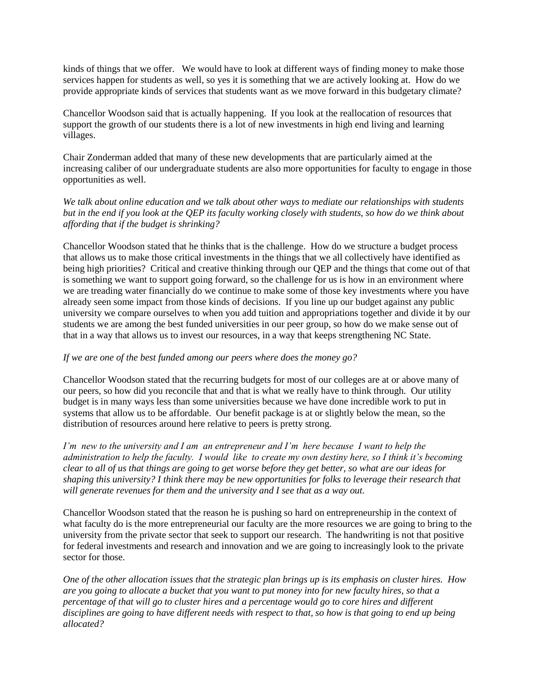kinds of things that we offer. We would have to look at different ways of finding money to make those services happen for students as well, so yes it is something that we are actively looking at. How do we provide appropriate kinds of services that students want as we move forward in this budgetary climate?

Chancellor Woodson said that is actually happening. If you look at the reallocation of resources that support the growth of our students there is a lot of new investments in high end living and learning villages.

Chair Zonderman added that many of these new developments that are particularly aimed at the increasing caliber of our undergraduate students are also more opportunities for faculty to engage in those opportunities as well.

*We talk about online education and we talk about other ways to mediate our relationships with students but in the end if you look at the QEP its faculty working closely with students, so how do we think about affording that if the budget is shrinking?*

Chancellor Woodson stated that he thinks that is the challenge. How do we structure a budget process that allows us to make those critical investments in the things that we all collectively have identified as being high priorities? Critical and creative thinking through our QEP and the things that come out of that is something we want to support going forward, so the challenge for us is how in an environment where we are treading water financially do we continue to make some of those key investments where you have already seen some impact from those kinds of decisions. If you line up our budget against any public university we compare ourselves to when you add tuition and appropriations together and divide it by our students we are among the best funded universities in our peer group, so how do we make sense out of that in a way that allows us to invest our resources, in a way that keeps strengthening NC State.

# *If we are one of the best funded among our peers where does the money go?*

Chancellor Woodson stated that the recurring budgets for most of our colleges are at or above many of our peers, so how did you reconcile that and that is what we really have to think through. Our utility budget is in many ways less than some universities because we have done incredible work to put in systems that allow us to be affordable. Our benefit package is at or slightly below the mean, so the distribution of resources around here relative to peers is pretty strong.

*I'm new to the university and I am an entrepreneur and I'm here because I want to help the administration to help the faculty. I would like to create my own destiny here, so I think it's becoming clear to all of us that things are going to get worse before they get better, so what are our ideas for shaping this university? I think there may be new opportunities for folks to leverage their research that will generate revenues for them and the university and I see that as a way out.* 

Chancellor Woodson stated that the reason he is pushing so hard on entrepreneurship in the context of what faculty do is the more entrepreneurial our faculty are the more resources we are going to bring to the university from the private sector that seek to support our research. The handwriting is not that positive for federal investments and research and innovation and we are going to increasingly look to the private sector for those.

*One of the other allocation issues that the strategic plan brings up is its emphasis on cluster hires. How are you going to allocate a bucket that you want to put money into for new faculty hires, so that a percentage of that will go to cluster hires and a percentage would go to core hires and different disciplines are going to have different needs with respect to that, so how is that going to end up being allocated?*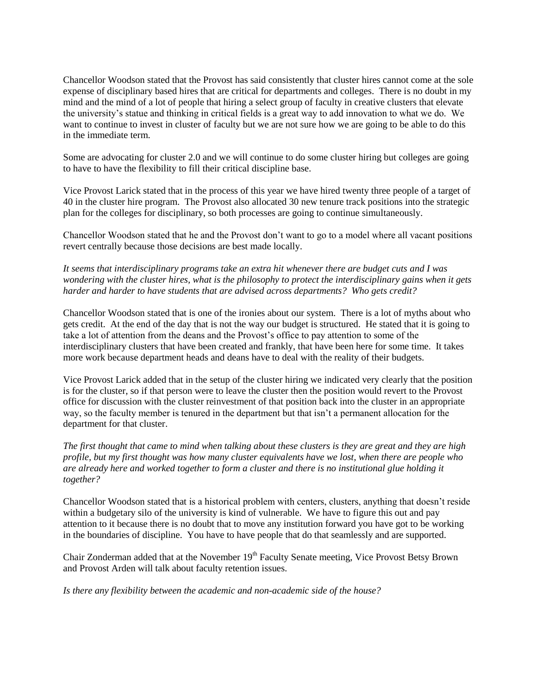Chancellor Woodson stated that the Provost has said consistently that cluster hires cannot come at the sole expense of disciplinary based hires that are critical for departments and colleges. There is no doubt in my mind and the mind of a lot of people that hiring a select group of faculty in creative clusters that elevate the university's statue and thinking in critical fields is a great way to add innovation to what we do. We want to continue to invest in cluster of faculty but we are not sure how we are going to be able to do this in the immediate term.

Some are advocating for cluster 2.0 and we will continue to do some cluster hiring but colleges are going to have to have the flexibility to fill their critical discipline base.

Vice Provost Larick stated that in the process of this year we have hired twenty three people of a target of 40 in the cluster hire program. The Provost also allocated 30 new tenure track positions into the strategic plan for the colleges for disciplinary, so both processes are going to continue simultaneously.

Chancellor Woodson stated that he and the Provost don't want to go to a model where all vacant positions revert centrally because those decisions are best made locally.

*It seems that interdisciplinary programs take an extra hit whenever there are budget cuts and I was wondering with the cluster hires, what is the philosophy to protect the interdisciplinary gains when it gets harder and harder to have students that are advised across departments? Who gets credit?* 

Chancellor Woodson stated that is one of the ironies about our system. There is a lot of myths about who gets credit. At the end of the day that is not the way our budget is structured. He stated that it is going to take a lot of attention from the deans and the Provost's office to pay attention to some of the interdisciplinary clusters that have been created and frankly, that have been here for some time. It takes more work because department heads and deans have to deal with the reality of their budgets.

Vice Provost Larick added that in the setup of the cluster hiring we indicated very clearly that the position is for the cluster, so if that person were to leave the cluster then the position would revert to the Provost office for discussion with the cluster reinvestment of that position back into the cluster in an appropriate way, so the faculty member is tenured in the department but that isn't a permanent allocation for the department for that cluster.

*The first thought that came to mind when talking about these clusters is they are great and they are high profile, but my first thought was how many cluster equivalents have we lost, when there are people who are already here and worked together to form a cluster and there is no institutional glue holding it together?*

Chancellor Woodson stated that is a historical problem with centers, clusters, anything that doesn't reside within a budgetary silo of the university is kind of vulnerable. We have to figure this out and pay attention to it because there is no doubt that to move any institution forward you have got to be working in the boundaries of discipline. You have to have people that do that seamlessly and are supported.

Chair Zonderman added that at the November 19<sup>th</sup> Faculty Senate meeting, Vice Provost Betsy Brown and Provost Arden will talk about faculty retention issues.

*Is there any flexibility between the academic and non-academic side of the house?*